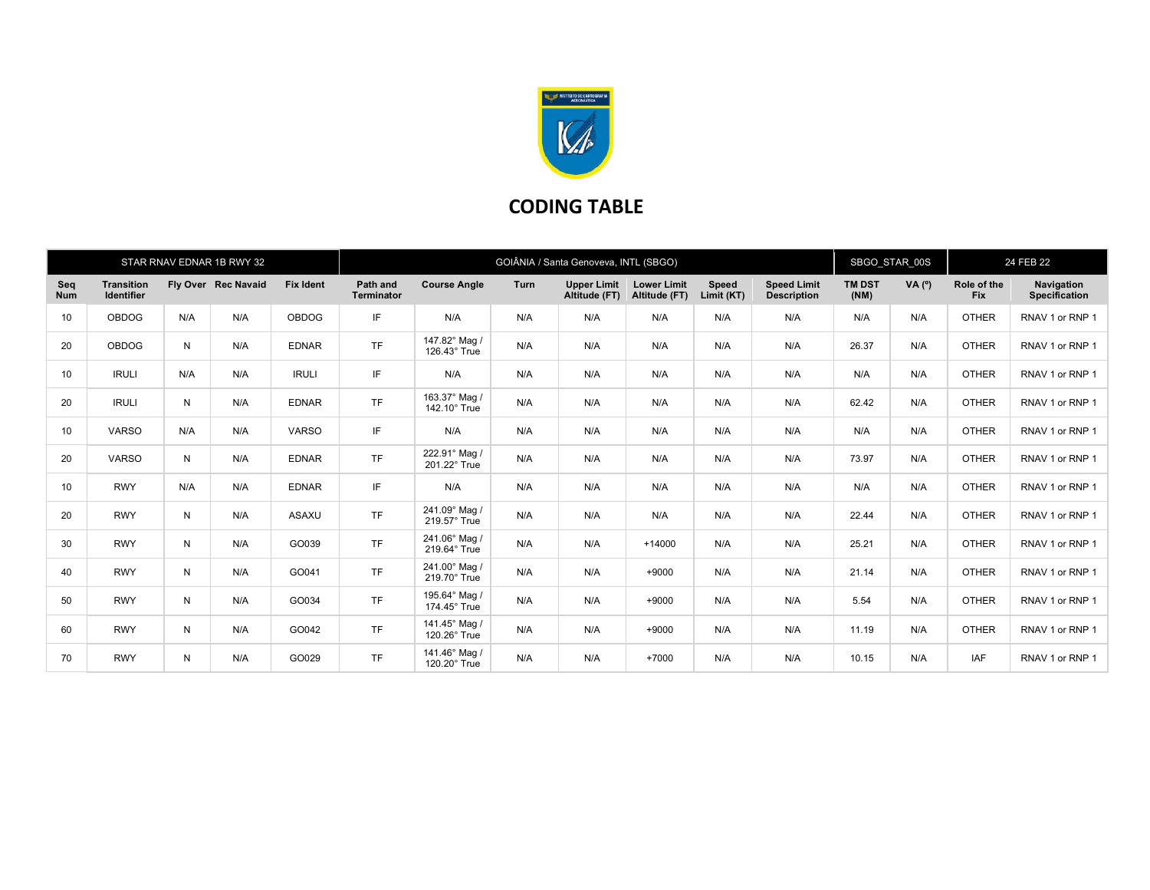

## CODING TABLE

| STAR RNAV EDNAR 1B RWY 32 |                                        |     |                     |                  | GOIÂNIA / Santa Genoveva, INTL (SBGO) |                               |      |                                     |                                     |                     |                                          | SBGO STAR 00S         |          | 24 FEB 22                 |                             |
|---------------------------|----------------------------------------|-----|---------------------|------------------|---------------------------------------|-------------------------------|------|-------------------------------------|-------------------------------------|---------------------|------------------------------------------|-----------------------|----------|---------------------------|-----------------------------|
| Seq<br><b>Num</b>         | <b>Transition</b><br><b>Identifier</b> |     | Fly Over Rec Navaid | <b>Fix Ident</b> | <b>Path and</b><br><b>Terminator</b>  | <b>Course Angle</b>           | Turn | <b>Upper Limit</b><br>Altitude (FT) | <b>Lower Limit</b><br>Altitude (FT) | Speed<br>Limit (KT) | <b>Speed Limit</b><br><b>Description</b> | <b>TM DST</b><br>(NM) | $VA(^o)$ | Role of the<br><b>Fix</b> | Navigation<br>Specification |
| 10                        | <b>OBDOG</b>                           | N/A | N/A                 | <b>OBDOG</b>     | IF                                    | N/A                           | N/A  | N/A                                 | N/A                                 | N/A                 | N/A                                      | N/A                   | N/A      | <b>OTHER</b>              | RNAV 1 or RNP 1             |
| 20                        | <b>OBDOG</b>                           | N   | N/A                 | <b>EDNAR</b>     | <b>TF</b>                             | 147.82° Mag /<br>126.43° True | N/A  | N/A                                 | N/A                                 | N/A                 | N/A                                      | 26.37                 | N/A      | <b>OTHER</b>              | RNAV 1 or RNP 1             |
| 10                        | <b>IRULI</b>                           | N/A | N/A                 | <b>IRULI</b>     | IF                                    | N/A                           | N/A  | N/A                                 | N/A                                 | N/A                 | N/A                                      | N/A                   | N/A      | <b>OTHER</b>              | RNAV 1 or RNP 1             |
| 20                        | <b>IRULI</b>                           | N   | N/A                 | <b>EDNAR</b>     | <b>TF</b>                             | 163.37° Mag /<br>142.10° True | N/A  | N/A                                 | N/A                                 | N/A                 | N/A                                      | 62.42                 | N/A      | <b>OTHER</b>              | RNAV 1 or RNP 1             |
| 10                        | <b>VARSO</b>                           | N/A | N/A                 | <b>VARSO</b>     | IF                                    | N/A                           | N/A  | N/A                                 | N/A                                 | N/A                 | N/A                                      | N/A                   | N/A      | <b>OTHER</b>              | RNAV 1 or RNP 1             |
| 20                        | <b>VARSO</b>                           | N   | N/A                 | <b>EDNAR</b>     | <b>TF</b>                             | 222.91° Mag /<br>201.22° True | N/A  | N/A                                 | N/A                                 | N/A                 | N/A                                      | 73.97                 | N/A      | <b>OTHER</b>              | RNAV 1 or RNP 1             |
| 10                        | <b>RWY</b>                             | N/A | N/A                 | <b>EDNAR</b>     | IF                                    | N/A                           | N/A  | N/A                                 | N/A                                 | N/A                 | N/A                                      | N/A                   | N/A      | <b>OTHER</b>              | RNAV 1 or RNP 1             |
| 20                        | <b>RWY</b>                             | N   | N/A                 | ASAXU            | <b>TF</b>                             | 241.09° Mag /<br>219.57° True | N/A  | N/A                                 | N/A                                 | N/A                 | N/A                                      | 22.44                 | N/A      | <b>OTHER</b>              | RNAV 1 or RNP 1             |
| 30                        | <b>RWY</b>                             | N   | N/A                 | GO039            | <b>TF</b>                             | 241.06° Mag /<br>219.64° True | N/A  | N/A                                 | $+14000$                            | N/A                 | N/A                                      | 25.21                 | N/A      | <b>OTHER</b>              | RNAV 1 or RNP 1             |
| 40                        | <b>RWY</b>                             | N   | N/A                 | GO041            | <b>TF</b>                             | 241.00° Mag /<br>219.70° True | N/A  | N/A                                 | $+9000$                             | N/A                 | N/A                                      | 21.14                 | N/A      | <b>OTHER</b>              | RNAV 1 or RNP 1             |
| 50                        | <b>RWY</b>                             | N   | N/A                 | GO034            | <b>TF</b>                             | 195.64° Mag /<br>174.45° True | N/A  | N/A                                 | $+9000$                             | N/A                 | N/A                                      | 5.54                  | N/A      | <b>OTHER</b>              | RNAV 1 or RNP 1             |
| 60                        | <b>RWY</b>                             | N   | N/A                 | GO042            | <b>TF</b>                             | 141.45° Mag /<br>120.26° True | N/A  | N/A                                 | $+9000$                             | N/A                 | N/A                                      | 11.19                 | N/A      | <b>OTHER</b>              | RNAV 1 or RNP 1             |
| 70                        | <b>RWY</b>                             | N   | N/A                 | GO029            | <b>TF</b>                             | 141.46° Mag /<br>120.20° True | N/A  | N/A                                 | $+7000$                             | N/A                 | N/A                                      | 10.15                 | N/A      | <b>IAF</b>                | RNAV 1 or RNP 1             |